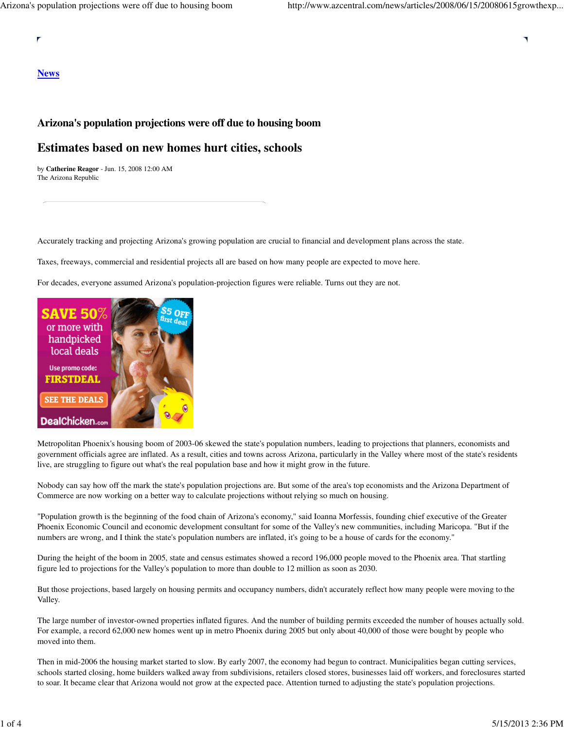## **News**

# **Arizona's population projections were off due to housing boom**

# **Estimates based on new homes hurt cities, schools**

by **Catherine Reagor** - Jun. 15, 2008 12:00 AM The Arizona Republic

Accurately tracking and projecting Arizona's growing population are crucial to financial and development plans across the state.

Taxes, freeways, commercial and residential projects all are based on how many people are expected to move here.

For decades, everyone assumed Arizona's population-projection figures were reliable. Turns out they are not.



Metropolitan Phoenix's housing boom of 2003-06 skewed the state's population numbers, leading to projections that planners, economists and government officials agree are inflated. As a result, cities and towns across Arizona, particularly in the Valley where most of the state's residents live, are struggling to figure out what's the real population base and how it might grow in the future.

Nobody can say how off the mark the state's population projections are. But some of the area's top economists and the Arizona Department of Commerce are now working on a better way to calculate projections without relying so much on housing.

"Population growth is the beginning of the food chain of Arizona's economy," said Ioanna Morfessis, founding chief executive of the Greater Phoenix Economic Council and economic development consultant for some of the Valley's new communities, including Maricopa. "But if the numbers are wrong, and I think the state's population numbers are inflated, it's going to be a house of cards for the economy."

During the height of the boom in 2005, state and census estimates showed a record 196,000 people moved to the Phoenix area. That startling figure led to projections for the Valley's population to more than double to 12 million as soon as 2030.

But those projections, based largely on housing permits and occupancy numbers, didn't accurately reflect how many people were moving to the Valley.

The large number of investor-owned properties inflated figures. And the number of building permits exceeded the number of houses actually sold. For example, a record 62,000 new homes went up in metro Phoenix during 2005 but only about 40,000 of those were bought by people who moved into them.

Then in mid-2006 the housing market started to slow. By early 2007, the economy had begun to contract. Municipalities began cutting services, schools started closing, home builders walked away from subdivisions, retailers closed stores, businesses laid off workers, and foreclosures started to soar. It became clear that Arizona would not grow at the expected pace. Attention turned to adjusting the state's population projections.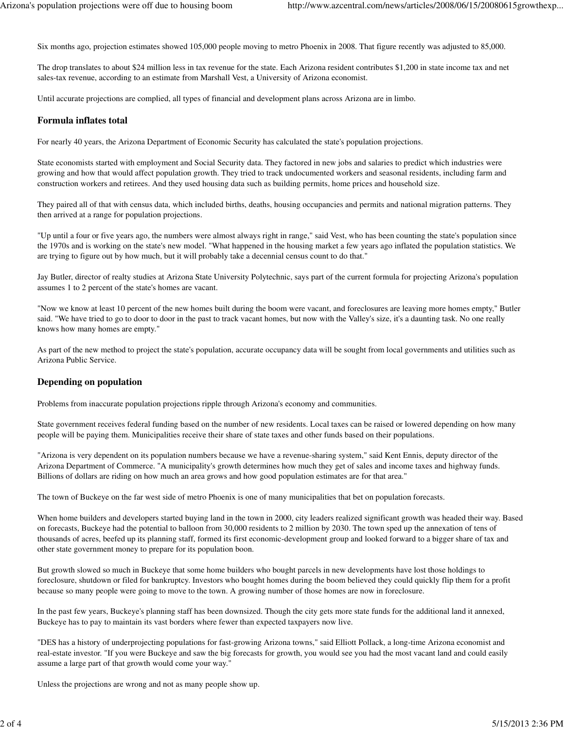Six months ago, projection estimates showed 105,000 people moving to metro Phoenix in 2008. That figure recently was adjusted to 85,000.

The drop translates to about \$24 million less in tax revenue for the state. Each Arizona resident contributes \$1,200 in state income tax and net sales-tax revenue, according to an estimate from Marshall Vest, a University of Arizona economist.

Until accurate projections are complied, all types of financial and development plans across Arizona are in limbo.

#### **Formula inflates total**

For nearly 40 years, the Arizona Department of Economic Security has calculated the state's population projections.

State economists started with employment and Social Security data. They factored in new jobs and salaries to predict which industries were growing and how that would affect population growth. They tried to track undocumented workers and seasonal residents, including farm and construction workers and retirees. And they used housing data such as building permits, home prices and household size.

They paired all of that with census data, which included births, deaths, housing occupancies and permits and national migration patterns. They then arrived at a range for population projections.

"Up until a four or five years ago, the numbers were almost always right in range," said Vest, who has been counting the state's population since the 1970s and is working on the state's new model. "What happened in the housing market a few years ago inflated the population statistics. We are trying to figure out by how much, but it will probably take a decennial census count to do that."

Jay Butler, director of realty studies at Arizona State University Polytechnic, says part of the current formula for projecting Arizona's population assumes 1 to 2 percent of the state's homes are vacant.

"Now we know at least 10 percent of the new homes built during the boom were vacant, and foreclosures are leaving more homes empty," Butler said. "We have tried to go to door to door in the past to track vacant homes, but now with the Valley's size, it's a daunting task. No one really knows how many homes are empty."

As part of the new method to project the state's population, accurate occupancy data will be sought from local governments and utilities such as Arizona Public Service.

### **Depending on population**

Problems from inaccurate population projections ripple through Arizona's economy and communities.

State government receives federal funding based on the number of new residents. Local taxes can be raised or lowered depending on how many people will be paying them. Municipalities receive their share of state taxes and other funds based on their populations.

"Arizona is very dependent on its population numbers because we have a revenue-sharing system," said Kent Ennis, deputy director of the Arizona Department of Commerce. "A municipality's growth determines how much they get of sales and income taxes and highway funds. Billions of dollars are riding on how much an area grows and how good population estimates are for that area."

The town of Buckeye on the far west side of metro Phoenix is one of many municipalities that bet on population forecasts.

When home builders and developers started buying land in the town in 2000, city leaders realized significant growth was headed their way. Based on forecasts, Buckeye had the potential to balloon from 30,000 residents to 2 million by 2030. The town sped up the annexation of tens of thousands of acres, beefed up its planning staff, formed its first economic-development group and looked forward to a bigger share of tax and other state government money to prepare for its population boon.

But growth slowed so much in Buckeye that some home builders who bought parcels in new developments have lost those holdings to foreclosure, shutdown or filed for bankruptcy. Investors who bought homes during the boom believed they could quickly flip them for a profit because so many people were going to move to the town. A growing number of those homes are now in foreclosure.

In the past few years, Buckeye's planning staff has been downsized. Though the city gets more state funds for the additional land it annexed, Buckeye has to pay to maintain its vast borders where fewer than expected taxpayers now live.

"DES has a history of underprojecting populations for fast-growing Arizona towns," said Elliott Pollack, a long-time Arizona economist and real-estate investor. "If you were Buckeye and saw the big forecasts for growth, you would see you had the most vacant land and could easily assume a large part of that growth would come your way."

Unless the projections are wrong and not as many people show up.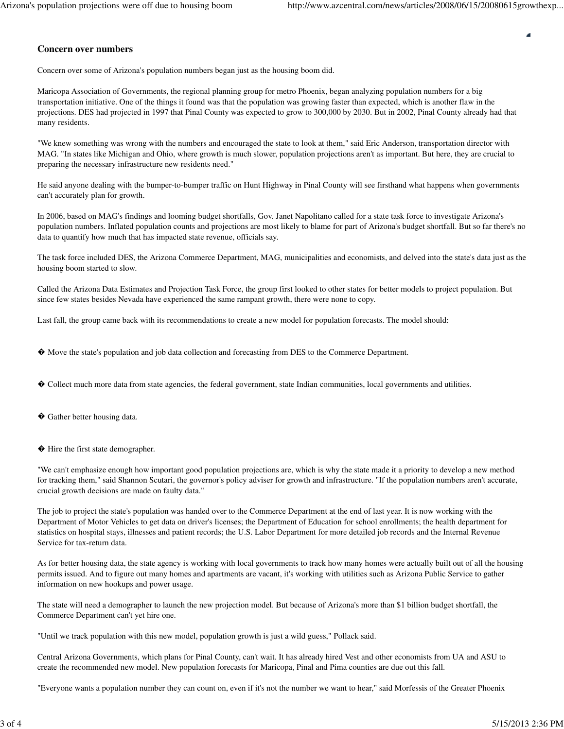#### **Concern over numbers**

Concern over some of Arizona's population numbers began just as the housing boom did.

Maricopa Association of Governments, the regional planning group for metro Phoenix, began analyzing population numbers for a big transportation initiative. One of the things it found was that the population was growing faster than expected, which is another flaw in the projections. DES had projected in 1997 that Pinal County was expected to grow to 300,000 by 2030. But in 2002, Pinal County already had that many residents.

"We knew something was wrong with the numbers and encouraged the state to look at them," said Eric Anderson, transportation director with MAG. "In states like Michigan and Ohio, where growth is much slower, population projections aren't as important. But here, they are crucial to preparing the necessary infrastructure new residents need."

He said anyone dealing with the bumper-to-bumper traffic on Hunt Highway in Pinal County will see firsthand what happens when governments can't accurately plan for growth.

In 2006, based on MAG's findings and looming budget shortfalls, Gov. Janet Napolitano called for a state task force to investigate Arizona's population numbers. Inflated population counts and projections are most likely to blame for part of Arizona's budget shortfall. But so far there's no data to quantify how much that has impacted state revenue, officials say.

The task force included DES, the Arizona Commerce Department, MAG, municipalities and economists, and delved into the state's data just as the housing boom started to slow.

Called the Arizona Data Estimates and Projection Task Force, the group first looked to other states for better models to project population. But since few states besides Nevada have experienced the same rampant growth, there were none to copy.

Last fall, the group came back with its recommendations to create a new model for population forecasts. The model should:

- � Move the state's population and job data collection and forecasting from DES to the Commerce Department.
- � Collect much more data from state agencies, the federal government, state Indian communities, local governments and utilities.
- � Gather better housing data.
- � Hire the first state demographer.

"We can't emphasize enough how important good population projections are, which is why the state made it a priority to develop a new method for tracking them," said Shannon Scutari, the governor's policy adviser for growth and infrastructure. "If the population numbers aren't accurate, crucial growth decisions are made on faulty data."

The job to project the state's population was handed over to the Commerce Department at the end of last year. It is now working with the Department of Motor Vehicles to get data on driver's licenses; the Department of Education for school enrollments; the health department for statistics on hospital stays, illnesses and patient records; the U.S. Labor Department for more detailed job records and the Internal Revenue Service for tax-return data.

As for better housing data, the state agency is working with local governments to track how many homes were actually built out of all the housing permits issued. And to figure out many homes and apartments are vacant, it's working with utilities such as Arizona Public Service to gather information on new hookups and power usage.

The state will need a demographer to launch the new projection model. But because of Arizona's more than \$1 billion budget shortfall, the Commerce Department can't yet hire one.

"Until we track population with this new model, population growth is just a wild guess," Pollack said.

Central Arizona Governments, which plans for Pinal County, can't wait. It has already hired Vest and other economists from UA and ASU to create the recommended new model. New population forecasts for Maricopa, Pinal and Pima counties are due out this fall.

"Everyone wants a population number they can count on, even if it's not the number we want to hear," said Morfessis of the Greater Phoenix